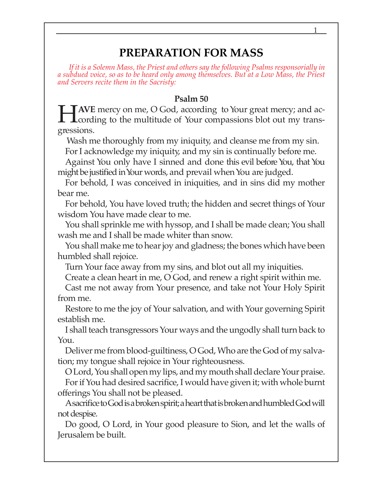# **PREPARATION FOR MASS**

*If it is a Solemn Mass, the Priest and others say the following Psalms responsorially in a subdued voice, so as to be heard only among themselves. But at a Low Mass, the Priest and Servers recite them in the Sacristy:*

#### **Psalm 50**

**HAVE** mercy on me, O God, according to Your great mercy; and according to the multitude of Your compassions blot out my transgressions.

 Wash me thoroughly from my iniquity, and cleanse me from my sin. For I acknowledge my iniquity, and my sin is continually before me.

Against You only have I sinned and done this evil before You, that You might be justified in Your words, and prevail when You are judged.

For behold, I was conceived in iniquities, and in sins did my mother bear me.

For behold, You have loved truth; the hidden and secret things of Your wisdom You have made clear to me.

You shall sprinkle me with hyssop, and I shall be made clean; You shall wash me and I shall be made whiter than snow.

You shall make me to hear joy and gladness; the bones which have been humbled shall rejoice.

Turn Your face away from my sins, and blot out all my iniquities.

Create a clean heart in me, O God, and renew a right spirit within me.

Cast me not away from Your presence, and take not Your Holy Spirit from me.

Restore to me the joy of Your salvation, and with Your governing Spirit establish me.

I shall teach transgressors Your ways and the ungodly shall turn back to You.

Deliver me from blood-guiltiness, O God, Who are the God of my salvation; my tongue shall rejoice in Your righteousness.

O Lord, You shall open my lips, and my mouth shall declare Your praise. For if You had desired sacrifice, I would have given it; with whole burnt offerings You shall not be pleased.

A sacrifice to God is a broken spirit; a heart that is broken and humbled God will not despise.

Do good, O Lord, in Your good pleasure to Sion, and let the walls of Jerusalem be built.

1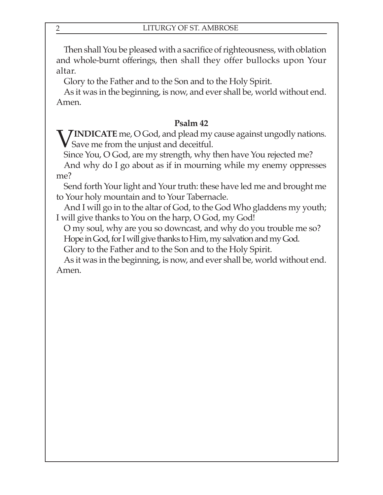Then shall You be pleased with a sacrifice of righteousness, with oblation and whole-burnt offerings, then shall they offer bullocks upon Your altar.

Glory to the Father and to the Son and to the Holy Spirit.

As it was in the beginning, is now, and ever shall be, world without end. Amen.

## **Psalm 42**

**FINDICATE** me, O God, and plead my cause against ungodly nations. Save me from the unjust and deceitful.

Since You, O God, are my strength, why then have You rejected me? And why do I go about as if in mourning while my enemy oppresses

me?

Send forth Your light and Your truth: these have led me and brought me to Your holy mountain and to Your Tabernacle.

And I will go in to the altar of God, to the God Who gladdens my youth; I will give thanks to You on the harp, O God, my God!

O my soul, why are you so downcast, and why do you trouble me so? Hope in God, for I will give thanks to Him, my salvation and my God.

Glory to the Father and to the Son and to the Holy Spirit.

As it was in the beginning, is now, and ever shall be, world without end. Amen.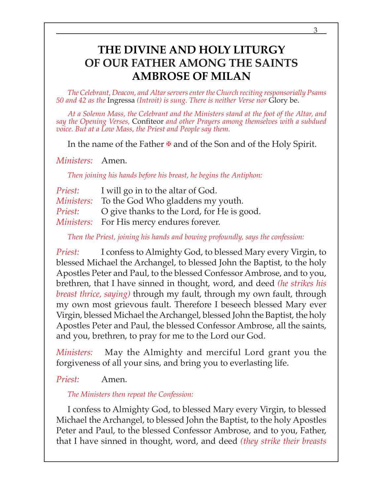# **THE DIVINE AND HOLY LITURGY OF OUR FATHER AMONG THE SAINTS AMBROSE OF MILAN**

*The Celebrant, Deacon, and Altar servers enter the Church reciting responsorially Psams 50 and 42 as the* Ingressa *(Introit) is sung. There is neither Verse nor* Glory be.

*At a Solemn Mass, the Celebrant and the Ministers stand at the foot of the Altar, and say the Opening Verses,* Confiteor *and other Prayers among themselves with a subdued voice. But at a Low Mass, the Priest and People say them.*

In the name of the Father  $\mathbf{\Psi}$  and of the Son and of the Holy Spirit.

*Ministers:* Amen.

*Then joining his hands before his breast, he begins the Antiphon:*

| <i>Priest:</i> | I will go in to the altar of God.                   |
|----------------|-----------------------------------------------------|
|                | <i>Ministers:</i> To the God Who gladdens my youth. |
| <i>Priest:</i> | O give thanks to the Lord, for He is good.          |
|                | <i>Ministers:</i> For His mercy endures forever.    |

*Then the Priest, joining his hands and bowing profoundly, says the confession:*

*Priest:* I confess to Almighty God, to blessed Mary every Virgin, to blessed Michael the Archangel, to blessed John the Baptist, to the holy Apostles Peter and Paul, to the blessed Confessor Ambrose, and to you, brethren, that I have sinned in thought, word, and deed *(he strikes his breast thrice, saying)* through my fault, through my own fault, through my own most grievous fault. Therefore I beseech blessed Mary ever Virgin, blessed Michael the Archangel, blessed John the Baptist, the holy Apostles Peter and Paul, the blessed Confessor Ambrose, all the saints, and you, brethren, to pray for me to the Lord our God.

*Ministers:* May the Almighty and merciful Lord grant you the forgiveness of all your sins, and bring you to everlasting life.

### *Priest:* Amen.

*The Ministers then repeat the Confession:*

I confess to Almighty God, to blessed Mary every Virgin, to blessed Michael the Archangel, to blessed John the Baptist, to the holy Apostles Peter and Paul, to the blessed Confessor Ambrose, and to you, Father, that I have sinned in thought, word, and deed *(they strike their breasts*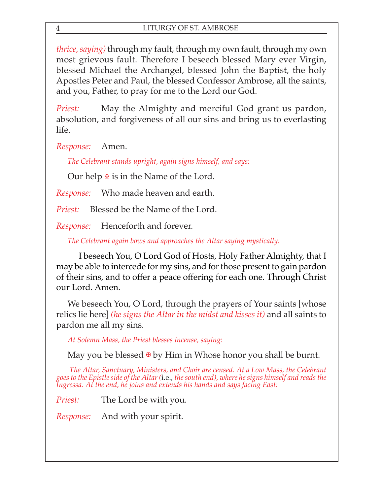*thrice, saying)* through my fault, through my own fault, through my own most grievous fault. Therefore I beseech blessed Mary ever Virgin, blessed Michael the Archangel, blessed John the Baptist, the holy Apostles Peter and Paul, the blessed Confessor Ambrose, all the saints, and you, Father, to pray for me to the Lord our God.

*Priest:* May the Almighty and merciful God grant us pardon, absolution, and forgiveness of all our sins and bring us to everlasting life.

*Response:* Amen.

*The Celebrant stands upright, again signs himself, and says:*

Our help  $\overline{\mathbf{F}}$  is in the Name of the Lord.

*Response:* Who made heaven and earth.

*Priest:* Blessed be the Name of the Lord.

*Response:* Henceforth and forever.

*The Celebrant again bows and approaches the Altar saying mystically:*

I beseech You, O Lord God of Hosts, Holy Father Almighty, that I may be able to intercede for my sins, and for those present to gain pardon of their sins, and to offer a peace offering for each one. Through Christ our Lord. Amen.

We beseech You, O Lord, through the prayers of Your saints [whose relics lie here] *(he signs the Altar in the midst and kisses it)* and all saints to pardon me all my sins.

*At Solemn Mass, the Priest blesses incense, saying:*

May you be blessed  $\Phi$  by Him in Whose honor you shall be burnt.

The Altar, Sanctuary, Ministers, and Choir are censed. At a Low Mass, the Celebrant<br>goes to the Epistle side of the Altar (i.e., the south end), where he signs himself and reads the<br>Ingressa. At the end, he joins and exten

*Priest:* The Lord be with you.

*Response:* And with your spirit.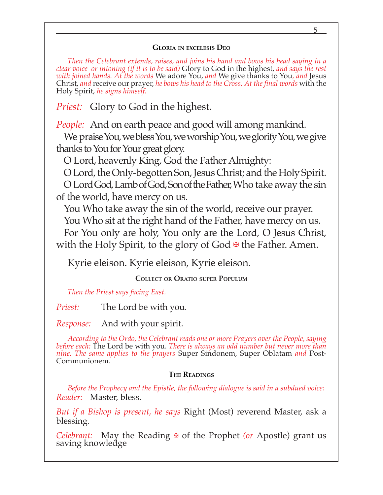#### **GLORIA IN EXCELESIS DEO**

*Then the Celebrant extends, raises, and joins his hand and bows his head saying in a clear voice or intoning (if it is to be said)* Glory to God in the highest, *and says the rest with joined hands. At the words* We adore You, *and* We give thanks to You*, and* Jesus Christ, *and* receive our prayer, *he bows his head to the Cross. At the final words* with the Holy Spirit, *he signs himself.*

*Priest:* Glory to God in the highest.

*People:* And on earth peace and good will among mankind.

We praise You, we bless You, we worship You, we glorify You, we give thanks to You for Your great glory.

O Lord, heavenly King, God the Father Almighty:

O Lord, the Only-begotten Son, Jesus Christ; and the Holy Spirit. O Lord God, Lamb of God, Son of the Father, Who take away the sin of the world, have mercy on us.

You Who take away the sin of the world, receive our prayer. You Who sit at the right hand of the Father, have mercy on us. For You only are holy, You only are the Lord, O Jesus Christ, with the Holy Spirit, to the glory of God  $\mathbf{\Psi}$  the Father. Amen.

Kyrie eleison. Kyrie eleison, Kyrie eleison.

**COLLECT OR ORATIO SUPER POPULUM**

*Then the Priest says facing East.*

*Priest:* The Lord be with you.

*Response:* And with your spirit.

*According to the Ordo, the Celebrant reads one or more Prayers over the People, saying before each:* The Lord be with you. *There is always an odd number but never more than nine. The same applies to the prayers* Super Sindonem, Super Oblatam *and* Post-Communionem.

### **THE READINGS**

*Before the Prophecy and the Epistle, the following dialogue is said in a subdued voice: Reader:* Master, bless.

*But if a Bishop is present, he says* Right (Most) reverend Master, ask a blessing.

*Celebrant:* May the Reading ✠ of the Prophet *(or* Apostle) grant us saving knowledge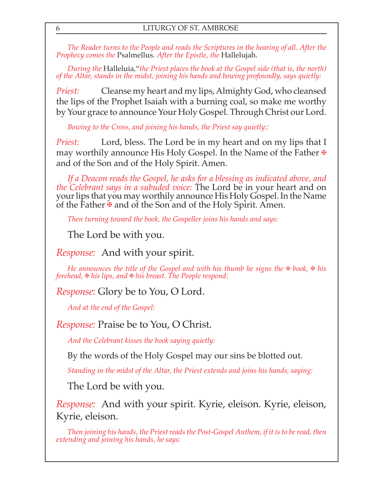*The Reader turns to the People and reads the Scriptures in the hearing of all. After the Prophecy comes the* Psalmellus. *After the Epistle, the* Hallelujah.

*During the* Halleluia,"*the Priest places the book at the Gospel side (that is, the north) of the Altar, stands in the midst, joining his hands and bowing profoundly, says quietly:*

*Priest:* Cleanse my heart and my lips, Almighty God, who cleansed the lips of the Prophet Isaiah with a burning coal, so make me worthy by Your grace to announce Your Holy Gospel. Through Christ our Lord.

*Bowing to the Cross, and joining his hands, the Priest say quietly::*

*Priest:* Lord, bless. The Lord be in my heart and on my lips that I may worthily announce His Holy Gospel. In the Name of the Father  $\overline{\mathbf{F}}$ and of the Son and of the Holy Spirit. Amen.

*If a Deacon reads the Gospel, he asks for a blessing as indicated above, and the Celebrant says in a subuded voice:* The Lord be in your heart and on your lips that you may worthily announce His Holy Gospel. In the Name of the Father  $\overline{\mathbf{A}}$  and of the Son and of the Holy Spirit. Amen.

*Then turning toward the book, the Gospeller joins his hands and says:*

The Lord be with you.

*Response:* And with your spirit.

*He announces the title of the Gospel and with his thumb he signs the* ⊕ *book*, ⊕ *his forehead,* ✠ *his lips, and* ✠ *his breast. The People respond:*

*Response:* Glory be to You, O Lord.

*And at the end of the Gospel:*

*Response:* Praise be to You, O Christ.

*And the Celebrant kisses the book saying quietly:*

By the words of the Holy Gospel may our sins be blotted out.

*Standing in the midst of the Altar, the Priest extends and joins his hands, saying:*

The Lord be with you.

*Response:* And with your spirit. Kyrie, eleison. Kyrie, eleison, Kyrie, eleison.

*Then joining his hands, the Priest reads the Post-Gospel Anthem, if it is to be read, then extending and joining his hands, he says:*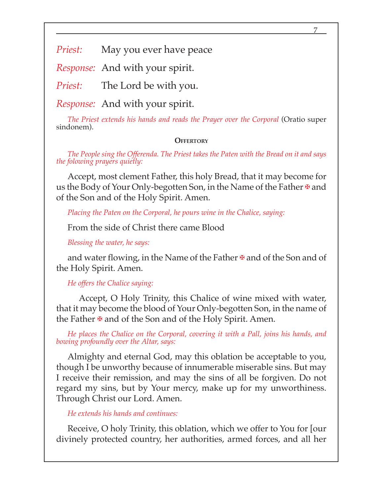7

*Priest:* May you ever have peace

*Response:* And with your spirit.

*Priest:* The Lord be with you.

*Response:* And with your spirit.

*The Priest extends his hands and reads the Prayer over the Corporal* (Oratio super sindonem).

#### **OFFERTORY**

*The People sing the Offerenda. The Priest takes the Paten with the Bread on it and says the folowing prayers quietly:*

Accept, most clement Father, this holy Bread, that it may become for us the Body of Your Only-begotten Son, in the Name of the Father  $\mathbf{\Psi}$  and of the Son and of the Holy Spirit. Amen.

*Placing the Paten on the Corporal, he pours wine in the Chalice, saying:*

From the side of Christ there came Blood

*Blessing the water, he says:*

and water flowing, in the Name of the Father  $\mathbf{\Psi}$  and of the Son and of the Holy Spirit. Amen.

*He offers the Chalice saying:*

Accept, O Holy Trinity, this Chalice of wine mixed with water, that it may become the blood of Your Only-begotten Son, in the name of the Father  $\overline{\mathbf{v}}$  and of the Son and of the Holy Spirit. Amen.

*He places the Chalice on the Corporal, covering it with a Pall, joins his hands, and bowing profoundly over the Altar, says:*

Almighty and eternal God, may this oblation be acceptable to you, though I be unworthy because of innumerable miserable sins. But may I receive their remission, and may the sins of all be forgiven. Do not regard my sins, but by Your mercy, make up for my unworthiness. Through Christ our Lord. Amen.

*He extends his hands and continues:*

Receive, O holy Trinity, this oblation, which we offer to You for [our divinely protected country, her authorities, armed forces, and all her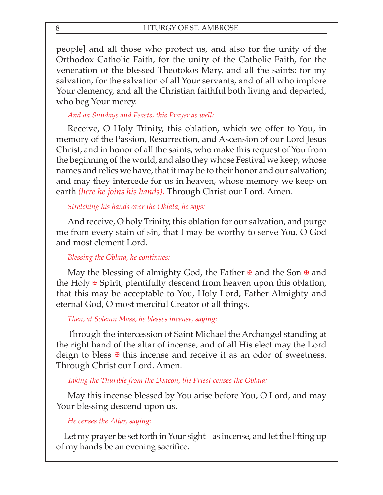people] and all those who protect us, and also for the unity of the Orthodox Catholic Faith, for the unity of the Catholic Faith, for the veneration of the blessed Theotokos Mary, and all the saints: for my salvation, for the salvation of all Your servants, and of all who implore Your clemency, and all the Christian faithful both living and departed, who beg Your mercy.

### *And on Sundays and Feasts, this Prayer as well:*

Receive, O Holy Trinity, this oblation, which we offer to You, in memory of the Passion, Resurrection, and Ascension of our Lord Jesus Christ, and in honor of all the saints, who make this request of You from the beginning of the world, and also they whose Festival we keep, whose names and relics we have, that it may be to their honor and our salvation; and may they intercede for us in heaven, whose memory we keep on earth *(here he joins his hands).* Through Christ our Lord. Amen.

### *Stretching his hands over the Oblata, he says:*

And receive, O holy Trinity, this oblation for our salvation, and purge me from every stain of sin, that I may be worthy to serve You, O God and most clement Lord.

### *Blessing the Oblata, he continues:*

May the blessing of almighty God, the Father  $\overline{\mathbf{F}}$  and the Son  $\overline{\mathbf{F}}$  and the Holy  $\mathcal{F}$  Spirit, plentifully descend from heaven upon this oblation, that this may be acceptable to You, Holy Lord, Father Almighty and eternal God, O most merciful Creator of all things.

### *Then, at Solemn Mass, he blesses incense, saying:*

Through the intercession of Saint Michael the Archangel standing at the right hand of the altar of incense, and of all His elect may the Lord deign to bless  $\mathbb F$  this incense and receive it as an odor of sweetness. Through Christ our Lord. Amen.

### *Taking the Thurible from the Deacon, the Priest censes the Oblata:*

May this incense blessed by You arise before You, O Lord, and may Your blessing descend upon us.

### *He censes the Altar, saying:*

Let my prayer be set forth in Your sight as incense, and let the lifting up of my hands be an evening sacrifice.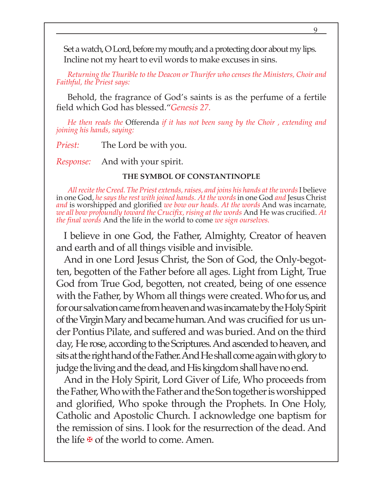Set a watch, O Lord, before my mouth; and a protecting door about my lips. Incline not my heart to evil words to make excuses in sins.

*Returning the Thurible to the Deacon or Thurifer who censes the Ministers, Choir and Faithful, the Priest says:*

Behold, the fragrance of God's saints is as the perfume of a fertile field which God has blessed."*Genesis 27.*

*He then reads the* Offerenda *if it has not been sung by the Choir , extending and joining his hands, saying:*

*Priest:* The Lord be with you.

*Response:* And with your spirit.

#### **THE SYMBOL OF CONSTANTINOPLE**

*All recite the Creed. The Priest extends, raises, and joins his hands at the words* I believe in one God, *he says the rest with joined hands. At the words* in one God *and* Jesus Christ *and* is worshipped and glorified *we bow our heads. At the words* And was incarnate, *we all bow profoundly toward the Crucifix, rising at the words* And He was crucified. *At the final words* And the life in the world to come *we sign ourselves.*

I believe in one God, the Father, Almighty, Creator of heaven and earth and of all things visible and invisible.

And in one Lord Jesus Christ, the Son of God, the Only-begotten, begotten of the Father before all ages. Light from Light, True God from True God, begotten, not created, being of one essence with the Father, by Whom all things were created. Who for us, and for our salvation came from heaven and was incarnate by the Holy Spirit of the Virgin Mary and became human. And was crucified for us under Pontius Pilate, and suffered and was buried. And on the third day, He rose, according to the Scriptures. And ascended to heaven, and sits at the right hand of the Father. And He shall come again with glory to judge the living and the dead, and His kingdom shall have no end.

And in the Holy Spirit, Lord Giver of Life, Who proceeds from the Father, Who with the Father and the Son together is worshipped and glorified, Who spoke through the Prophets. In One Holy, Catholic and Apostolic Church. I acknowledge one baptism for the remission of sins. I look for the resurrection of the dead. And the life **⊕** of the world to come. Amen.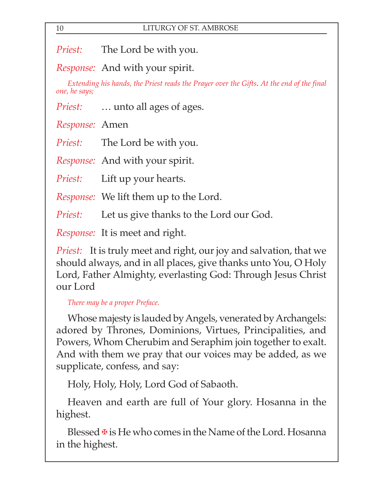*Priest:* The Lord be with you.

*Response:* And with your spirit.

*Extending his hands, the Priest reads the Prayer over the Gifts*. *At the end of the final one, he says;*

*Priest:* … unto all ages of ages.

*Response:* Amen

*Priest:* The Lord be with you.

*Response:* And with your spirit.

*Priest:* Lift up your hearts.

*Response:* We lift them up to the Lord.

*Priest:* Let us give thanks to the Lord our God.

*Response:* It is meet and right.

*Priest:* It is truly meet and right, our joy and salvation, that we should always, and in all places, give thanks unto You, O Holy Lord, Father Almighty, everlasting God: Through Jesus Christ our Lord

*There may be a proper Preface.*

Whose majesty is lauded by Angels, venerated by Archangels: adored by Thrones, Dominions, Virtues, Principalities, and Powers, Whom Cherubim and Seraphim join together to exalt. And with them we pray that our voices may be added, as we supplicate, confess, and say:

Holy, Holy, Holy, Lord God of Sabaoth.

Heaven and earth are full of Your glory. Hosanna in the highest.

Blessed  $\overline{\mathbf{F}}$  is He who comes in the Name of the Lord. Hosanna in the highest.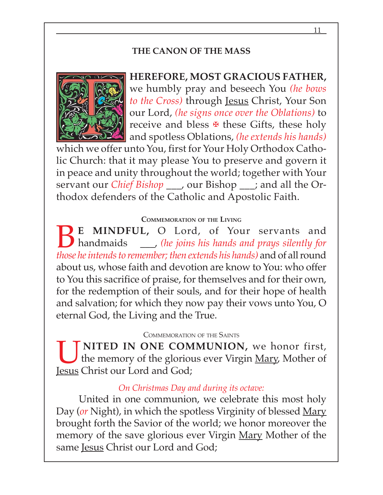## **THE CANON OF THE MASS**



**HEREFORE, MOST GRACIOUS FATHER,** we humbly pray and beseech You *(he bows to the Cross)* through Jesus Christ, Your Son our Lord, *(he signs once over the Oblations)* to receive and bless  $\mathbb F$  these Gifts, these holy and spotless Oblations, *(he extends his hands)*

which we offer unto You, first for Your Holy Orthodox Catholic Church: that it may please You to preserve and govern it in peace and unity throughout the world; together with Your servant our *Chief Bishop*, our Bishop; and all the Orthodox defenders of the Catholic and Apostolic Faith.

#### **COMMEMORATION OF THE LIVING**

**BE MINDFUL, O Lord, of Your servants and handmaids** \_\_\_\_\_, (he joins his hands and prays silently for those he intends to remomber then extends his hands) and of all round handmaids \_\_\_, *(he joins his hands and prays silently for those he intends to remember; then extends his hands)* and of all round about us, whose faith and devotion are know to You: who offer to You this sacrifice of praise, for themselves and for their own, for the redemption of their souls, and for their hope of health and salvation; for which they now pay their vows unto You, O eternal God, the Living and the True.

#### COMMEMORATION OF THE SAINTS

**UNITED IN ONE COMMUNION,** we honor first,<br>the memory of the glorious ever Virgin <u>Mary</u>, Mother of the memory of the glorious ever Virgin <u>Mary</u>, Mother of Jesus Christ our Lord and God;

#### *On Christmas Day and during its octave:*

United in one communion, we celebrate this most holy Day (*or* Night), in which the spotless Virginity of blessed Mary brought forth the Savior of the world; we honor moreover the memory of the save glorious ever Virgin Mary Mother of the same Jesus Christ our Lord and God;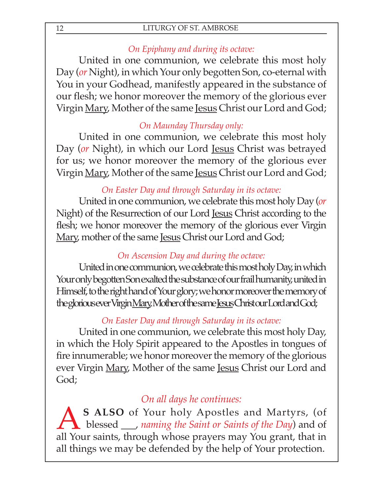## *On Epiphany and during its octave:*

United in one communion, we celebrate this most holy Day (*or* Night), in which Your only begotten Son, co-eternal with You in your Godhead, manifestly appeared in the substance of our flesh; we honor moreover the memory of the glorious ever Virgin Mary, Mother of the same Jesus Christ our Lord and God;

## *On Maunday Thursday only:*

United in one communion, we celebrate this most holy Day (*or* Night), in which our Lord <u>Jesus</u> Christ was betrayed for us; we honor moreover the memory of the glorious ever Virgin Mary, Mother of the same Jesus Christ our Lord and God;

## *On Easter Day and through Saturday in its octave:*

United in one communion, we celebrate this most holy Day (*or* Night) of the Resurrection of our Lord Jesus Christ according to the flesh; we honor moreover the memory of the glorious ever Virgin Mary, mother of the same Jesus Christ our Lord and God;

## *On Ascension Day and during the octave:*

United in one communion, we celebrate this most holy Day, in which Your only begotten Son exalted the substance of our frail humanity, united in Himself, to the right hand of Your glory; we honor moreover the memory of the glorious ever Virgin Mary, Mother of the same Jesus Christ our Lord and God;

# *On Easter Day and through Saturday in its octave:*

United in one communion, we celebrate this most holy Day, in which the Holy Spirit appeared to the Apostles in tongues of fire innumerable; we honor moreover the memory of the glorious ever Virgin Mary, Mother of the same Jesus Christ our Lord and God;

# *On all days he continues:*

A S ALSO of Your holy Apostles and Martyrs, (of blessed *\_\_, naming the Saint or Saints of the Day*) and of all Your saints through whose prayors may You grant that in blessed \_\_\_, *naming the Saint or Saints of the Day*) and of all Your saints, through whose prayers may You grant, that in all things we may be defended by the help of Your protection.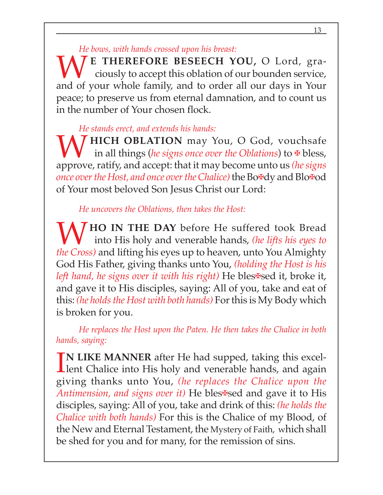### *He bows, with hands crossed upon his breast:*

**WE THEREFORE BESEECH YOU,** O Lord, gra-<br>ciously to accept this oblation of our bounden service, ciously to accept this oblation of our bounden service, and of your whole family, and to order all our days in Your peace; to preserve us from eternal damnation, and to count us in the number of Your chosen flock.

## *He stands erect, and extends his hands:*

**W** HICH OBLATION may You, O God, vouchsafe in all things (he signs once over the Oblations) to  $\overline{\mathbf{F}}$  bless, in all things (*he signs once over the Oblations*) to ✠ bless, approve, ratify, and accept: that it may become unto us *(he signs once over the Host, and once over the Chalice)* the Bo✠dy and Blo✠od of Your most beloved Son Jesus Christ our Lord:

## *He uncovers the Oblations, then takes the Host:*

**7 HO IN THE DAY** before He suffered took Bread into His holy and venerable hands, *(he lifts his eyes to the Cross)* and lifting his eyes up to heaven, unto You Almighty God His Father, giving thanks unto You, *(holding the Host is his left hand, he signs over it with his right*) He bles<sup>★</sup>sed it, broke it, and gave it to His disciples, saying: All of you, take and eat of this: *(he holds the Host with both hands)* For this is My Body which is broken for you.

*He replaces the Host upon the Paten. He then takes the Chalice in both hands, saying:*

IN LIKE MANNER after He had supped, taking this excellent Chalice into His holy and venerable hands, and again **N LIKE MANNER** after He had supped, taking this excelgiving thanks unto You, *(he replaces the Chalice upon the Antimension, and signs over it*) He bles**<sup>** $⊉$ **</sup>sed and gave it to His** disciples, saying: All of you, take and drink of this: *(he holds the Chalice with both hands)* For this is the Chalice of my Blood, of the New and Eternal Testament, the Mystery of Faith, which shall be shed for you and for many, for the remission of sins.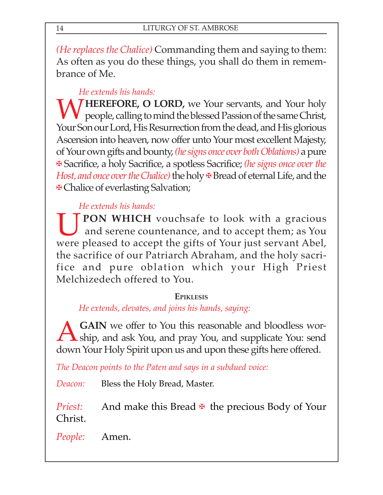*(He replaces the Chalice)* Commanding them and saying to them: As often as you do these things, you shall do them in remembrance of Me.

## *He extends his hands:*

**7 HEREFORE, O LORD,** we Your servants, and Your holy people, calling to mind the blessed Passion of the same Christ, Your Son our Lord, His Resurrection from the dead, and His glorious Ascension into heaven, now offer unto Your most excellent Majesty, of Your own gifts and bounty, *(he signs once over both Oblations)* a pure ✠ Sacrifice, a holy Sacrifice, a spotless Sacrifice; *(he signs once over the Host, and once over the Chalice*) the holy **∗** Bread of eternal Life, and the ✠ Chalice of everlasting Salvation;

# *He extends his hands:*

**UPON WHICH** vouchsafe to look with a gracious<br>and serene countenance, and to accept them; as You and serene countenance, and to accept them; as You were pleased to accept the gifts of Your just servant Abel, the sacrifice of our Patriarch Abraham, and the holy sacrifice and pure oblation which your High Priest Melchizedech offered to You.

## **EPIKLESIS**

*He extends, elevates, and joins his hands, saying:*

**ACAIN** we offer to You this reasonable and bloodless wor-<br>
ship, and ask You, and pray You, and supplicate You: send down Your Holy Spirit upon us and upon these gifts here offered.

*The Deacon points to the Paten and says in a subdued voice:*

*Deacon:* Bless the Holy Bread, Master.

*Priest:* And make this Bread **ખ** the precious Body of Your Christ.

*People:* Amen.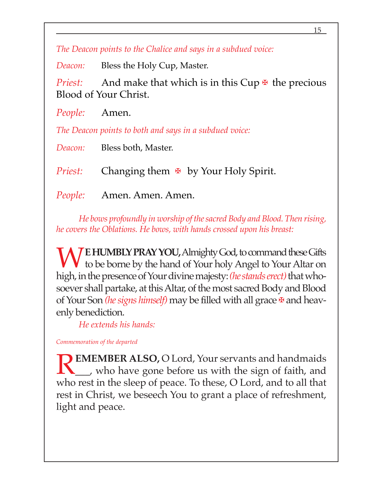*The Deacon points to the Chalice and says in a subdued voice:*

*Deacon:* Bless the Holy Cup, Master.

*Priest:* And make that which is in this Cup  $\overline{\mathbf{F}}$  the precious Blood of Your Christ.

*People:* Amen.

*The Deacon points to both and says in a subdued voice:*

*Deacon:* Bless both, Master.

*Priest:* Changing them **ખ** by Your Holy Spirit.

*People:* Amen. Amen. Amen.

*He bows profoundly in worship of the sacred Body and Blood. Then rising, he covers the Oblations. He bows, with hands crossed upon his breast:*

**TE HUMBLY PRAY YOU, Almighty God, to command these Gifts** to be borne by the hand of Your holy Angel to Your Altar on high, in the presence of Your divine majesty: *(he stands erect)* that whosoever shall partake, at this Altar, of the most sacred Body and Blood of Your Son *(he signs himself)* may be filled with all grace <sub>₹</sub> and heavenly benediction.

*He extends his hands:*

*Commemoration of the departed*

**EMEMBER ALSO, O Lord, Your servants and handmaids** \_\_\_, who have gone before us with the sign of faith, and who rest in the sleep of peace. To these, O Lord, and to all that rest in Christ, we beseech You to grant a place of refreshment, light and peace.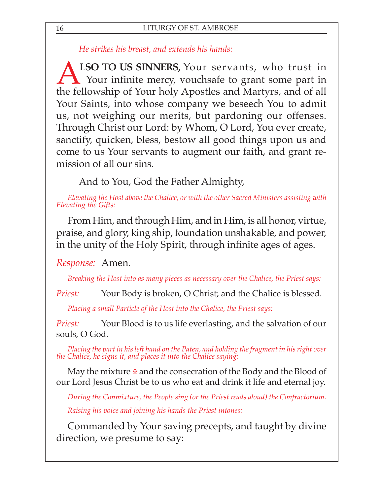*He strikes his breast, and extends his hands:*

**ALSO TO US SINNERS,** Your servants, who trust in Your infinite mercy, vouchsafe to grant some part in the followship of Your boly. Apostles and Martyrs, and of all Your infinite mercy, vouchsafe to grant some part in the fellowship of Your holy Apostles and Martyrs, and of all Your Saints, into whose company we beseech You to admit us, not weighing our merits, but pardoning our offenses. Through Christ our Lord: by Whom, O Lord, You ever create, sanctify, quicken, bless, bestow all good things upon us and come to us Your servants to augment our faith, and grant remission of all our sins.

And to You, God the Father Almighty,

*Elevating the Host above the Chalice, or with the other Sacred Ministers assisting with Elevating the Gifts:*

From Him, and through Him, and in Him, is all honor, virtue, praise, and glory, king ship, foundation unshakable, and power, in the unity of the Holy Spirit, through infinite ages of ages.

*Response:* Amen.

*Breaking the Host into as many pieces as necessary over the Chalice, the Priest says:*

*Priest:* Your Body is broken, O Christ; and the Chalice is blessed.

*Placing a small Particle of the Host into the Chalice, the Priest says:*

*Priest:* Your Blood is to us life everlasting, and the salvation of our souls, O God.

*Placing the part in his left hand on the Paten, and holding the fragment in his right over the Chalice, he signs it, and places it into the Chalice saying:*

May the mixture  $\Phi$  and the consecration of the Body and the Blood of our Lord Jesus Christ be to us who eat and drink it life and eternal joy.

*During the Conmixture, the People sing (or the Priest reads aloud) the Confractorium. Raising his voice and joining his hands the Priest intones:*

Commanded by Your saving precepts, and taught by divine direction, we presume to say: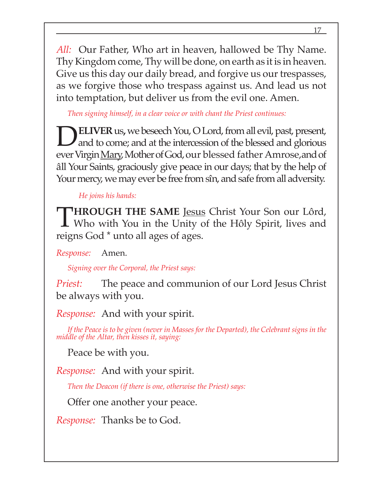*All:* Our Father, Who art in heaven, hallowed be Thy Name. Thy Kingdom come, Thy will be done, on earth as it is in heaven. Give us this day our daily bread, and forgive us our trespasses, as we forgive those who trespass against us. And lead us not into temptation, but deliver us from the evil one. Amen.

*Then signing himself, in a clear voice or with chant the Priest continues:*

**DELIVER** us, we beseech You, O Lord, from all evil, past, present,<br>and to come; and at the intercession of the blessed and glorious ever Virgin Mary, Mother of God, our blessed father Amrose,and of âll Your Saints, graciously give peace in our days; that by the help of Your mercy, we may ever be free from sîn, and safe from all adversity.

*He joins his hands:*

T**HROUGH THE SAME** Jesus Christ Your Son our Lôrd, Who with You in the Unity of the Hôly Spirit, lives and reigns God \* unto all ages of ages.

*Response:* Amen.

*Signing over the Corporal, the Priest says:*

*Priest:* The peace and communion of our Lord Jesus Christ be always with you.

*Response:* And with your spirit.

*If the Peace is to be given (never in Masses for the Departed), the Celebrant signs in the middle of the Altar, then kisses it, saying:*

Peace be with you.

*Response:* And with your spirit.

*Then the Deacon (if there is one, otherwise the Priest) says:*

Offer one another your peace.

*Response:* Thanks be to God.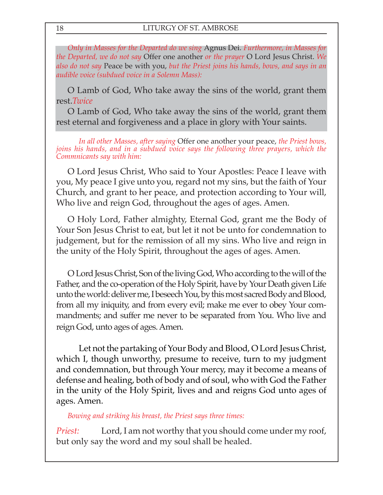*Only in Masses for the Departed do we sing* Agnus Dei. *Furthermore, in Masses for the Departed, we do not say* Offer one another *or the prayer* O Lord Jesus Christ. *We also do not say* Peace be with you, *but the Priest joins his hands, bows, and says in an audible voice (subdued voice in a Solemn Mass):*

O Lamb of God, Who take away the sins of the world, grant them rest.*Twice*

O Lamb of God, Who take away the sins of the world, grant them rest eternal and forgiveness and a place in glory with Your saints.

*In all other Masses, after saying* Offer one another your peace, *the Priest bows, joins his hands, and in a subdued voice says the following three prayers, which the Commnicants say with him:*

O Lord Jesus Christ, Who said to Your Apostles: Peace I leave with you, My peace I give unto you, regard not my sins, but the faith of Your Church, and grant to her peace, and protection according to Your will, Who live and reign God, throughout the ages of ages. Amen.

O Holy Lord, Father almighty, Eternal God, grant me the Body of Your Son Jesus Christ to eat, but let it not be unto for condemnation to judgement, but for the remission of all my sins. Who live and reign in the unity of the Holy Spirit, throughout the ages of ages. Amen.

O Lord Jesus Christ, Son of the living God, Who according to the will of the Father, and the co-operation of the Holy Spirit, have by Your Death given Life unto the world: deliver me, I beseech You, by this most sacred Body and Blood, from all my iniquity, and from every evil; make me ever to obey Your commandments; and suffer me never to be separated from You. Who live and reign God, unto ages of ages. Amen.

Let not the partaking of Your Body and Blood, O Lord Jesus Christ, which I, though unworthy, presume to receive, turn to my judgment and condemnation, but through Your mercy, may it become a means of defense and healing, both of body and of soul, who with God the Father in the unity of the Holy Spirit, lives and and reigns God unto ages of ages. Amen.

*Bowing and striking his breast, the Priest says three times:*

*Priest:* Lord, I am not worthy that you should come under my roof, but only say the word and my soul shall be healed.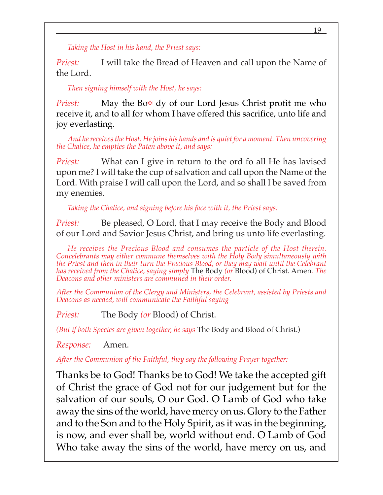*Taking the Host in his hand, the Priest says:*

*Priest:* I will take the Bread of Heaven and call upon the Name of the Lord.

*Then signing himself with the Host, he says:*

*Priest:* May the Bo<sub><sup>₩</sub></sup> dy of our Lord Jesus Christ profit me who</sub> receive it, and to all for whom I have offered this sacrifice, unto life and joy everlasting.

*And he receives the Host. He joins his hands and is quiet for a moment. Then uncovering the Chalice, he empties the Paten above it, and says:*

*Priest:* What can I give in return to the ord fo all He has lavised upon me? I will take the cup of salvation and call upon the Name of the Lord. With praise I will call upon the Lord, and so shall I be saved from my enemies.

*Taking the Chalice, and signing before his face with it, the Priest says:*

*Priest:* Be pleased, O Lord, that I may receive the Body and Blood of our Lord and Savior Jesus Christ, and bring us unto life everlasting.

*He receives the Precious Blood and consumes the particle of the Host therein. Concelebrants may either commune themselves with the Holy Body simultaneously with the Priest and then in their turn the Precious Blood, or they may wait until the Celebrant has received from the Chalice, saying simply* The Body *(or* Blood) of Christ. Amen*. The Deacons and other ministers are communed in their order.*

*After the Communion of the Clergy and Ministers, the Celebrant, assisted by Priests and Deacons as needed, will communicate the Faithful saying*

*Priest:* The Body *(or* Blood) of Christ.

*(But if both Species are given together, he says* The Body and Blood of Christ.)

*Response:* Amen.

*After the Communion of the Faithful, they say the following Prayer together:*

Thanks be to God! Thanks be to God! We take the accepted gift of Christ the grace of God not for our judgement but for the salvation of our souls, O our God. O Lamb of God who take away the sins of the world, have mercy on us. Glory to the Father and to the Son and to the Holy Spirit, as it was in the beginning, is now, and ever shall be, world without end. O Lamb of God Who take away the sins of the world, have mercy on us, and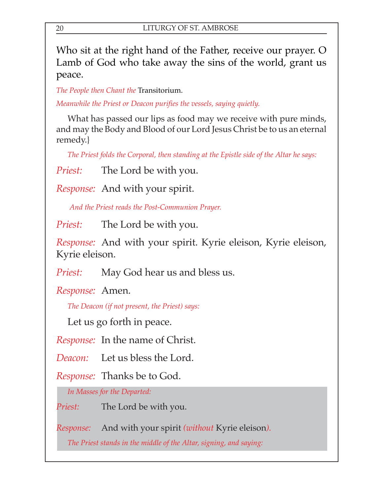Who sit at the right hand of the Father, receive our prayer. O Lamb of God who take away the sins of the world, grant us peace.

*The People then Chant the* Transitorium.

*Meanwhile the Priest or Deacon purifies the vessels, saying quietly.*

What has passed our lips as food may we receive with pure minds, and may the Body and Blood of our Lord Jesus Christ be to us an eternal remedy.}

*The Priest folds the Corporal, then standing at the Epistle side of the Altar he says:*

*Priest:* The Lord be with you.

*Response:* And with your spirit.

*And the Priest reads the Post-Communion Prayer.*

*Priest:* The Lord be with you.

*Response:* And with your spirit. Kyrie eleison, Kyrie eleison, Kyrie eleison.

*Priest:* May God hear us and bless us.

*Response:* Amen.

*The Deacon (if not present, the Priest) says:*

Let us go forth in peace.

*Response:* In the name of Christ.

*Deacon:* Let us bless the Lord.

*Response:* Thanks be to God.

*In Masses for the Departed:*

*Priest:* The Lord be with you.

*Response:* And with your spirit *(without* Kyrie eleison*).*

*The Priest stands in the middle of the Altar, signing, and saying:*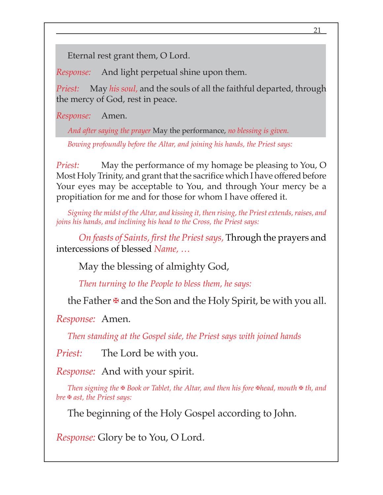Eternal rest grant them, O Lord.

*Response:* And light perpetual shine upon them.

*Priest:* May *his soul,* and the souls of all the faithful departed, through the mercy of God, rest in peace.

*Response:* Amen.

*And after saying the prayer* May the performance, *no blessing is given.*

*Bowing profoundly before the Altar, and joining his hands, the Priest says:*

*Priest:* May the performance of my homage be pleasing to You, O Most Holy Trinity, and grant that the sacrifice which I have offered before Your eyes may be acceptable to You, and through Your mercy be a propitiation for me and for those for whom I have offered it.

*Signing the midst of the Altar, and kissing it, then rising, the Priest extends, raises, and joins his hands, and inclining his head to the Cross, the Priest says:*

*On feasts of Saints, first the Priest says,* Through the prayers and intercessions of blessed *Name, …*

May the blessing of almighty God,

*Then turning to the People to bless them, he says:*

the Father  $\mathbf{\Psi}$  and the Son and the Holy Spirit, be with you all.

*Response:* Amen.

*Then standing at the Gospel side, the Priest says with joined hands*

*Priest:* The Lord be with you.

*Response:* And with your spirit.

*Then signing the* ✠ *Book or Tablet, the Altar, and then his fore* ✠*head, mouth* ✠ *th, and bre* ✠ *ast, the Priest says:*

The beginning of the Holy Gospel according to John.

*Response:* Glory be to You, O Lord.